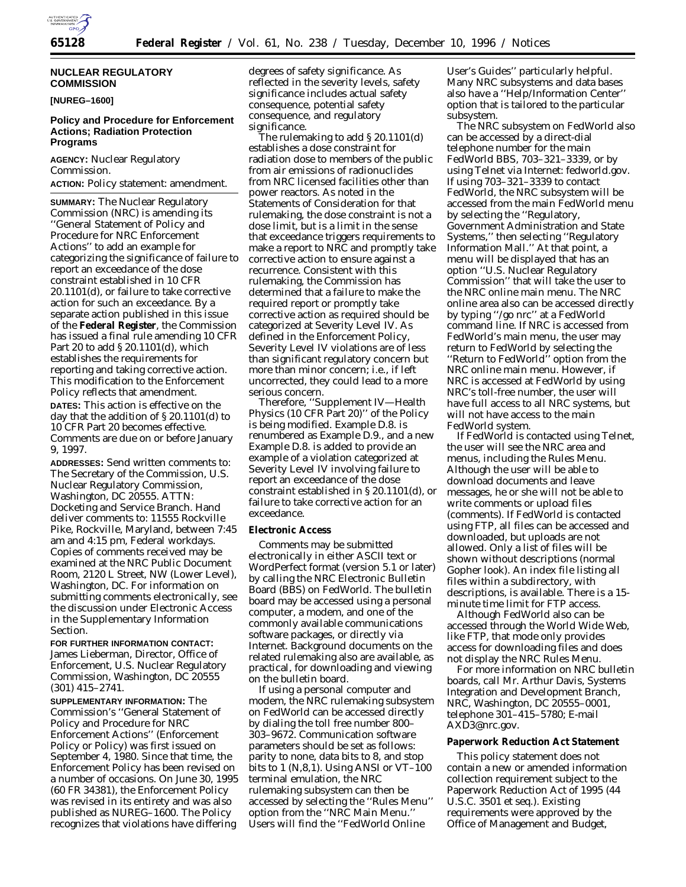

## **NUCLEAR REGULATORY COMMISSION**

**[NUREG–1600]**

## **Policy and Procedure for Enforcement Actions; Radiation Protection Programs**

**AGENCY:** Nuclear Regulatory Commission.

**ACTION:** Policy statement: amendment.

**SUMMARY:** The Nuclear Regulatory Commission (NRC) is amending its ''General Statement of Policy and Procedure for NRC Enforcement Actions'' to add an example for categorizing the significance of failure to report an exceedance of the dose constraint established in 10 CFR 20.1101(d), or failure to take corrective action for such an exceedance. By a separate action published in this issue of the **Federal Register**, the Commission has issued a final rule amending 10 CFR Part 20 to add § 20.1101(d), which establishes the requirements for reporting and taking corrective action. This modification to the Enforcement Policy reflects that amendment.

**DATES:** This action is effective on the day that the addition of § 20.1101(d) to 10 CFR Part 20 becomes effective. Comments are due on or before January 9, 1997.

**ADDRESSES:** *Send written comments to:* The Secretary of the Commission, U.S. Nuclear Regulatory Commission, Washington, DC 20555. ATTN: Docketing and Service Branch. Hand deliver comments to: 11555 Rockville Pike, Rockville, Maryland, between 7:45 am and 4:15 pm, Federal workdays. Copies of comments received may be examined at the NRC Public Document Room, 2120 L Street, NW (Lower Level), Washington, DC. For information on submitting comments electronically, see the discussion under Electronic Access in the Supplementary Information Section.

**FOR FURTHER INFORMATION CONTACT:** James Lieberman, Director, Office of Enforcement, U.S. Nuclear Regulatory Commission, Washington, DC 20555 (301) 415–2741.

**SUPPLEMENTARY INFORMATION:** The Commission's ''General Statement of Policy and Procedure for NRC Enforcement Actions'' (Enforcement Policy or Policy) was first issued on September 4, 1980. Since that time, the Enforcement Policy has been revised on a number of occasions. On June 30, 1995 (60 FR 34381), the Enforcement Policy was revised in its entirety and was also published as NUREG–1600. The Policy recognizes that violations have differing

degrees of safety significance. As reflected in the severity levels, safety significance includes actual safety consequence, potential safety consequence, and regulatory significance.

The rulemaking to add § 20.1101(d) establishes a dose constraint for radiation dose to members of the public from air emissions of radionuclides from NRC licensed facilities other than power reactors. As noted in the Statements of Consideration for that rulemaking, the dose constraint is not a dose limit, but is a limit in the sense that exceedance triggers requirements to make a report to NRC and promptly take corrective action to ensure against a recurrence. Consistent with this rulemaking, the Commission has determined that a failure to make the required report or promptly take corrective action as required should be categorized at Severity Level IV. As defined in the Enforcement Policy, Severity Level IV violations are of less than significant regulatory concern but more than minor concern; i.e., if left uncorrected, they could lead to a more serious concern.

Therefore, ''Supplement IV—Health Physics (10 CFR Part 20)'' of the Policy is being modified. Example D.8. is renumbered as Example D.9., and a new Example D.8. is added to provide an example of a violation categorized at Severity Level IV involving failure to report an exceedance of the dose constraint established in § 20.1101(d), or failure to take corrective action for an exceedance.

## **Electronic Access**

Comments may be submitted electronically in either ASCII text or WordPerfect format (version 5.1 or later) by calling the NRC Electronic Bulletin Board (BBS) on FedWorld. The bulletin board may be accessed using a personal computer, a modem, and one of the commonly available communications software packages, or directly via Internet. Background documents on the related rulemaking also are available, as practical, for downloading and viewing on the bulletin board.

If using a personal computer and modem, the NRC rulemaking subsystem on FedWorld can be accessed directly by dialing the toll free number 800– 303–9672. Communication software parameters should be set as follows: parity to none, data bits to 8, and stop bits to 1  $(N,8,1)$ . Using ANSI or VT–100 terminal emulation, the NRC rulemaking subsystem can then be accessed by selecting the ''Rules Menu'' option from the ''NRC Main Menu.'' Users will find the ''FedWorld Online

User's Guides'' particularly helpful. Many NRC subsystems and data bases also have a ''Help/Information Center'' option that is tailored to the particular subsystem.

The NRC subsystem on FedWorld also can be accessed by a direct-dial telephone number for the main FedWorld BBS, 703–321–3339, or by using Telnet via Internet: fedworld.gov. If using 703–321–3339 to contact FedWorld, the NRC subsystem will be accessed from the main FedWorld menu by selecting the ''Regulatory, Government Administration and State Systems,'' then selecting ''Regulatory Information Mall.'' At that point, a menu will be displayed that has an option ''U.S. Nuclear Regulatory Commission'' that will take the user to the NRC online main menu. The NRC online area also can be accessed directly by typing ''/go nrc'' at a FedWorld command line. If NRC is accessed from FedWorld's main menu, the user may return to FedWorld by selecting the ''Return to FedWorld'' option from the NRC online main menu. However, if NRC is accessed at FedWorld by using NRC's toll-free number, the user will have full access to all NRC systems, but will not have access to the main FedWorld system.

If FedWorld is contacted using Telnet, the user will see the NRC area and menus, including the Rules Menu. Although the user will be able to download documents and leave messages, he or she will not be able to write comments or upload files (comments). If FedWorld is contacted using FTP, all files can be accessed and downloaded, but uploads are not allowed. Only a list of files will be shown without descriptions (normal Gopher look). An index file listing all files within a subdirectory, with descriptions, is available. There is a 15 minute time limit for FTP access.

Although FedWorld also can be accessed through the World Wide Web, like FTP, that mode only provides access for downloading files and does not display the NRC Rules Menu.

For more information on NRC bulletin boards, call Mr. Arthur Davis, Systems Integration and Development Branch, NRC, Washington, DC 20555–0001, telephone 301–415–5780; E-mail AXD3@nrc.gov.

## **Paperwork Reduction Act Statement**

This policy statement does not contain a new or amended information collection requirement subject to the Paperwork Reduction Act of 1995 (44 U.S.C. 3501 et seq.). Existing requirements were approved by the Office of Management and Budget,